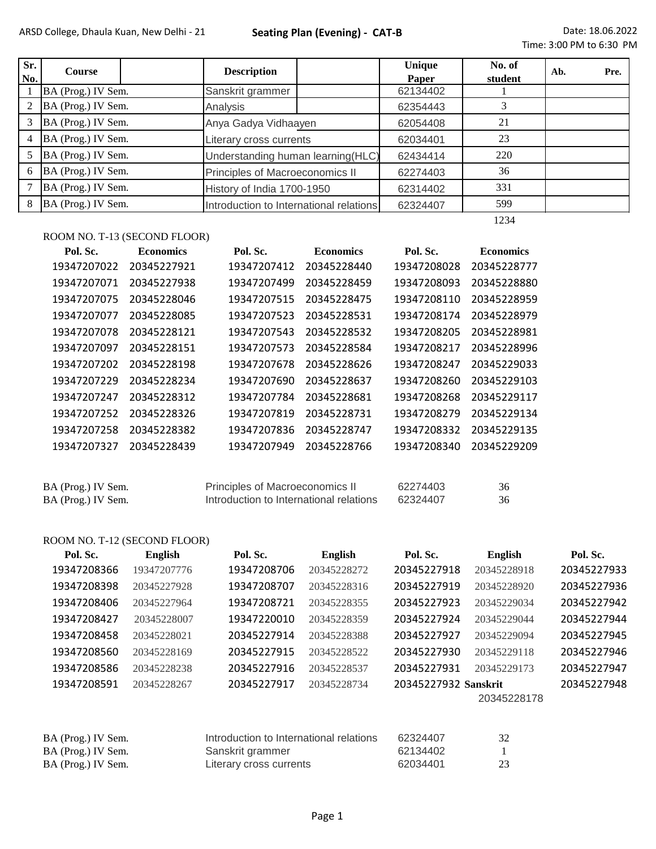| Sr.<br>No. | <b>Course</b>      |  | <b>Description</b>                      |  | Unique<br>Paper | No. of<br>student | Ab. | Pre. |
|------------|--------------------|--|-----------------------------------------|--|-----------------|-------------------|-----|------|
|            | BA (Prog.) IV Sem. |  | Sanskrit grammer                        |  | 62134402        |                   |     |      |
| 2          | BA (Prog.) IV Sem. |  | Analysis                                |  | 62354443        |                   |     |      |
| 3          | BA (Prog.) IV Sem. |  | Anya Gadya Vidhaayen                    |  | 62054408        | 21                |     |      |
| 4          | BA (Prog.) IV Sem. |  | Literary cross currents                 |  | 62034401        | 23                |     |      |
| 5          | BA (Prog.) IV Sem. |  | Understanding human learning (HLC)      |  | 62434414        | 220               |     |      |
| 6          | BA (Prog.) IV Sem. |  | Principles of Macroeconomics II         |  | 62274403        | 36                |     |      |
| 7          | BA (Prog.) IV Sem. |  | History of India 1700-1950              |  | 62314402        | 331               |     |      |
| 8          | BA (Prog.) IV Sem. |  | Introduction to International relations |  | 62324407        | 599               |     |      |
|            |                    |  |                                         |  |                 | 1234              |     |      |

## ROOM NO. T-13 (SECOND FLOOR)

| Pol. Sc.    | <b>Economics</b> | Pol. Sc.    | <b>Economics</b> | Pol. Sc.    | <b>Economics</b> |
|-------------|------------------|-------------|------------------|-------------|------------------|
| 19347207022 | 20345227921      | 19347207412 | 20345228440      | 19347208028 | 20345228777      |
| 19347207071 | 20345227938      | 19347207499 | 20345228459      | 19347208093 | 20345228880      |
| 19347207075 | 20345228046      | 19347207515 | 20345228475      | 19347208110 | 20345228959      |
| 19347207077 | 20345228085      | 19347207523 | 20345228531      | 19347208174 | 20345228979      |
| 19347207078 | 20345228121      | 19347207543 | 20345228532      | 19347208205 | 20345228981      |
| 19347207097 | 20345228151      | 19347207573 | 20345228584      | 19347208217 | 20345228996      |
| 19347207202 | 20345228198      | 19347207678 | 20345228626      | 19347208247 | 20345229033      |
| 19347207229 | 20345228234      | 19347207690 | 20345228637      | 19347208260 | 20345229103      |
| 19347207247 | 20345228312      | 19347207784 | 20345228681      | 19347208268 | 20345229117      |
| 19347207252 | 20345228326      | 19347207819 | 20345228731      | 19347208279 | 20345229134      |
| 19347207258 | 20345228382      | 19347207836 | 20345228747      | 19347208332 | 20345229135      |
| 19347207327 | 20345228439      | 19347207949 | 20345228766      | 19347208340 | 20345229209      |
|             |                  |             |                  |             |                  |
|             |                  |             |                  |             |                  |

| BA (Prog.) IV Sem. | Principles of Macroeconomics II         | 62274403 |  |
|--------------------|-----------------------------------------|----------|--|
| BA (Prog.) IV Sem. | Introduction to International relations | 62324407 |  |

## ROOM NO. T-12 (SECOND FLOOR)

| Pol. Sc.    | <b>English</b> | Pol. Sc.    | English     | Pol. Sc.             | <b>English</b> | Pol. Sc.    |
|-------------|----------------|-------------|-------------|----------------------|----------------|-------------|
| 19347208366 | 19347207776    | 19347208706 | 20345228272 | 20345227918          | 20345228918    | 20345227933 |
| 19347208398 | 20345227928    | 19347208707 | 20345228316 | 20345227919          | 20345228920    | 20345227936 |
| 19347208406 | 20345227964    | 19347208721 | 20345228355 | 20345227923          | 20345229034    | 20345227942 |
| 19347208427 | 20345228007    | 19347220010 | 20345228359 | 20345227924          | 20345229044    | 20345227944 |
| 19347208458 | 20345228021    | 20345227914 | 20345228388 | 20345227927          | 20345229094    | 20345227945 |
| 19347208560 | 20345228169    | 20345227915 | 20345228522 | 20345227930          | 20345229118    | 20345227946 |
| 19347208586 | 20345228238    | 20345227916 | 20345228537 | 20345227931          | 20345229173    | 20345227947 |
| 19347208591 | 20345228267    | 20345227917 | 20345228734 | 20345227932 Sanskrit |                | 20345227948 |
|             |                |             |             |                      | 20345228178    |             |

| BA (Prog.) IV Sem. | Introduction to International relations | 62324407 | 32 |
|--------------------|-----------------------------------------|----------|----|
| BA (Prog.) IV Sem. | Sanskrit grammer                        | 62134402 |    |
| BA (Prog.) IV Sem. | Literary cross currents                 | 62034401 | 23 |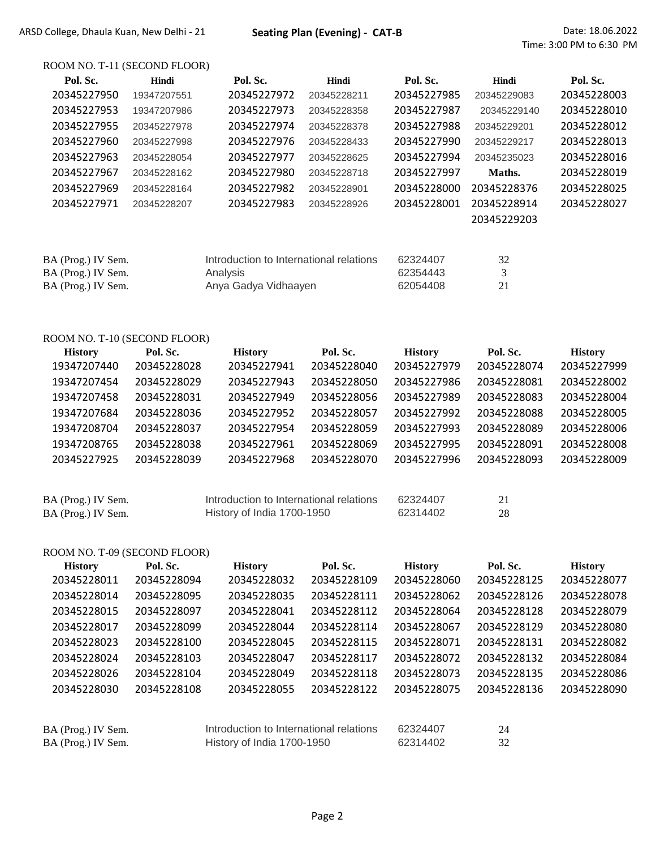BA (Prog.) IV Sem. History of India 1700-1950 62314402 32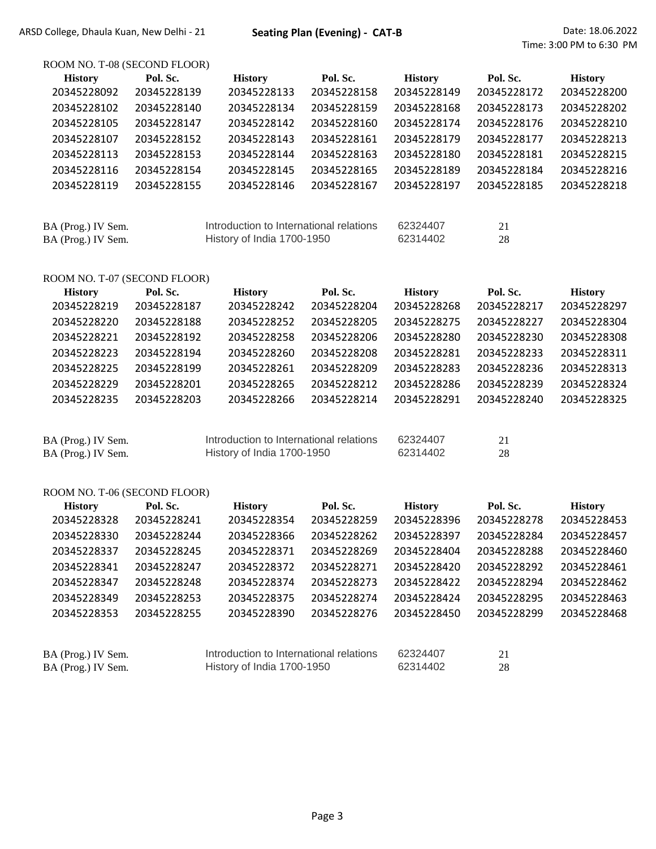ROOM NO. T-08 (SECOND FLOOR)

| <b>History</b>               | Pol. Sc.    | <b>History</b>                          | Pol. Sc.    | <b>History</b> | Pol. Sc.    | <b>History</b> |
|------------------------------|-------------|-----------------------------------------|-------------|----------------|-------------|----------------|
| 20345228092                  | 20345228139 | 20345228133                             | 20345228158 | 20345228149    | 20345228172 | 20345228200    |
| 20345228102                  | 20345228140 | 20345228134                             | 20345228159 | 20345228168    | 20345228173 | 20345228202    |
| 20345228105                  | 20345228147 | 20345228142                             | 20345228160 | 20345228174    | 20345228176 | 20345228210    |
| 20345228107                  | 20345228152 | 20345228143                             | 20345228161 | 20345228179    | 20345228177 | 20345228213    |
| 20345228113                  | 20345228153 | 20345228144                             | 20345228163 | 20345228180    | 20345228181 | 20345228215    |
| 20345228116                  | 20345228154 | 20345228145                             | 20345228165 | 20345228189    | 20345228184 | 20345228216    |
| 20345228119                  | 20345228155 | 20345228146                             | 20345228167 | 20345228197    | 20345228185 | 20345228218    |
|                              |             |                                         |             |                |             |                |
| BA (Prog.) IV Sem.           |             | Introduction to International relations |             | 62324407       | 21          |                |
| BA (Prog.) IV Sem.           |             | History of India 1700-1950              |             | 62314402       | 28          |                |
| ROOM NO. T-07 (SECOND FLOOR) |             |                                         |             |                |             |                |
| <b>History</b>               | Pol. Sc.    | <b>History</b>                          | Pol. Sc.    | <b>History</b> | Pol. Sc.    | <b>History</b> |
| 20345228219                  | 20345228187 | 20345228242                             | 20345228204 | 20345228268    | 20345228217 | 20345228297    |
| 20345228220                  | 20345228188 | 20345228252                             | 20345228205 | 20345228275    | 20345228227 | 20345228304    |
| 20345228221                  | 20345228192 | 20345228258                             | 20345228206 | 20345228280    | 20345228230 | 20345228308    |
| 20345228223                  | 20345228194 | 20345228260                             | 20345228208 | 20345228281    | 20345228233 | 20345228311    |
| 20345228225                  | 20345228199 | 20345228261                             | 20345228209 | 20345228283    | 20345228236 | 20345228313    |
| 20345228229                  | 20345228201 | 20345228265                             | 20345228212 | 20345228286    | 20345228239 | 20345228324    |

20345228235 20345228203 20345228266 20345228214 20345228291 20345228240 20345228325

| BA (Prog.) IV Sem. | Introduction to International relations | 62324407 |     |
|--------------------|-----------------------------------------|----------|-----|
| BA (Prog.) IV Sem. | History of India 1700-1950              | 62314402 | 28. |

#### ROOM NO. T-06 (SECOND FLOOR)

| <b>History</b>     | Pol. Sc.    | <b>History</b>                          | Pol. Sc.    | <b>History</b> | Pol. Sc.    | <b>History</b> |
|--------------------|-------------|-----------------------------------------|-------------|----------------|-------------|----------------|
| 20345228328        | 20345228241 | 20345228354                             | 20345228259 | 20345228396    | 20345228278 | 20345228453    |
| 20345228330        | 20345228244 | 20345228366                             | 20345228262 | 20345228397    | 20345228284 | 20345228457    |
| 20345228337        | 20345228245 | 20345228371                             | 20345228269 | 20345228404    | 20345228288 | 20345228460    |
| 20345228341        | 20345228247 | 20345228372                             | 20345228271 | 20345228420    | 20345228292 | 20345228461    |
| 20345228347        | 20345228248 | 20345228374                             | 20345228273 | 20345228422    | 20345228294 | 20345228462    |
| 20345228349        | 20345228253 | 20345228375                             | 20345228274 | 20345228424    | 20345228295 | 20345228463    |
| 20345228353        | 20345228255 | 20345228390                             | 20345228276 | 20345228450    | 20345228299 | 20345228468    |
|                    |             |                                         |             |                |             |                |
| BA (Prog.) IV Sem. |             | Introduction to International relations |             | 62324407       | 21          |                |
| BA (Prog.) IV Sem. |             | History of India 1700-1950              |             | 62314402       | 28          |                |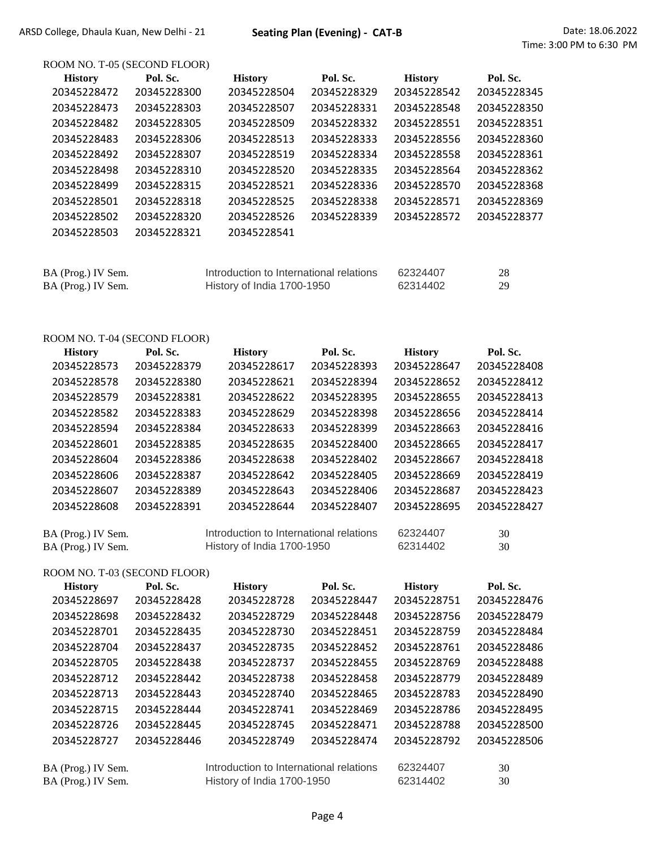| ROOM NO. T-05 (SECOND FLOOR)  |             |                                         |             |                               |                         |
|-------------------------------|-------------|-----------------------------------------|-------------|-------------------------------|-------------------------|
| <b>History</b>                | Pol. Sc.    | <b>History</b>                          | Pol. Sc.    | <b>History</b>                | Pol. Sc.                |
| 20345228472                   | 20345228300 | 20345228504                             | 20345228329 | 20345228542                   | 20345228345             |
| 20345228473                   | 20345228303 | 20345228507                             | 20345228331 | 20345228548                   | 20345228350             |
| 20345228482                   | 20345228305 | 20345228509                             | 20345228332 | 20345228551                   | 20345228351             |
| 20345228483                   | 20345228306 | 20345228513                             | 20345228333 | 20345228556                   | 20345228360             |
| 20345228492                   | 20345228307 | 20345228519                             | 20345228334 | 20345228558                   | 20345228361             |
| 20345228498                   | 20345228310 | 20345228520                             | 20345228335 | 20345228564                   | 20345228362             |
| 20345228499                   | 20345228315 | 20345228521                             | 20345228336 | 20345228570                   | 20345228368             |
| 20345228501                   | 20345228318 | 20345228525                             | 20345228338 | 20345228571                   | 20345228369             |
| 20345228502                   | 20345228320 | 20345228526                             | 20345228339 | 20345228572                   | 20345228377             |
| 20345228503                   | 20345228321 | 20345228541                             |             |                               |                         |
| BA (Prog.) IV Sem.            |             | Introduction to International relations |             | 62324407                      | 28                      |
| BA (Prog.) IV Sem.            |             | History of India 1700-1950              |             | 62314402                      | 29                      |
|                               |             |                                         |             |                               |                         |
| ROOM NO. T-04 (SECOND FLOOR)  | Pol. Sc.    |                                         | Pol. Sc.    |                               |                         |
| <b>History</b><br>20345228573 | 20345228379 | <b>History</b><br>20345228617           | 20345228393 | <b>History</b><br>20345228647 | Pol. Sc.<br>20345228408 |
| 20345228578                   | 20345228380 | 20345228621                             | 20345228394 | 20345228652                   | 20345228412             |
| 20345228579                   | 20345228381 | 20345228622                             | 20345228395 | 20345228655                   | 20345228413             |
| 20345228582                   | 20345228383 | 20345228629                             | 20345228398 | 20345228656                   | 20345228414             |
| 20345228594                   | 20345228384 | 20345228633                             | 20345228399 | 20345228663                   | 20345228416             |
| 20345228601                   | 20345228385 | 20345228635                             | 20345228400 | 20345228665                   | 20345228417             |
| 20345228604                   | 20345228386 | 20345228638                             | 20345228402 | 20345228667                   | 20345228418             |
| 20345228606                   | 20345228387 | 20345228642                             | 20345228405 | 20345228669                   | 20345228419             |
| 20345228607                   | 20345228389 | 20345228643                             | 20345228406 | 20345228687                   | 20345228423             |
| 20345228608                   | 20345228391 | 20345228644                             | 20345228407 | 20345228695                   | 20345228427             |
|                               |             |                                         |             |                               |                         |
| BA (Prog.) IV Sem.            |             | Introduction to International relations |             | 62324407                      | 30                      |
| BA (Prog.) IV Sem.            |             | History of India 1700-1950              |             | 62314402                      | 30                      |
| ROOM NO. T-03 (SECOND FLOOR)  |             |                                         |             |                               |                         |
| <b>History</b>                | Pol. Sc.    | <b>History</b>                          | Pol. Sc.    | <b>History</b>                | Pol. Sc.                |
| 20345228697                   | 20345228428 | 20345228728                             | 20345228447 | 20345228751                   | 20345228476             |
| 20345228698                   | 20345228432 | 20345228729                             | 20345228448 | 20345228756                   | 20345228479             |
| 20345228701                   | 20345228435 | 20345228730                             | 20345228451 | 20345228759                   | 20345228484             |
| 20345228704                   | 20345228437 | 20345228735                             | 20345228452 | 20345228761                   | 20345228486             |
| 20345228705                   | 20345228438 | 20345228737                             | 20345228455 | 20345228769                   | 20345228488             |
| 20345228712                   | 20345228442 | 20345228738                             | 20345228458 | 20345228779                   | 20345228489             |
| 20345228713                   | 20345228443 | 20345228740                             | 20345228465 | 20345228783                   | 20345228490             |
| 20345228715                   | 20345228444 | 20345228741                             | 20345228469 | 20345228786                   | 20345228495             |
| 20345228726                   | 20345228445 | 20345228745                             | 20345228471 | 20345228788                   | 20345228500             |
| 20345228727                   | 20345228446 | 20345228749                             | 20345228474 | 20345228792                   | 20345228506             |

| BA (Prog.) IV Sem. | Introduction to International relations | 62324407 |    |
|--------------------|-----------------------------------------|----------|----|
| BA (Prog.) IV Sem. | History of India 1700-1950              | 62314402 | 30 |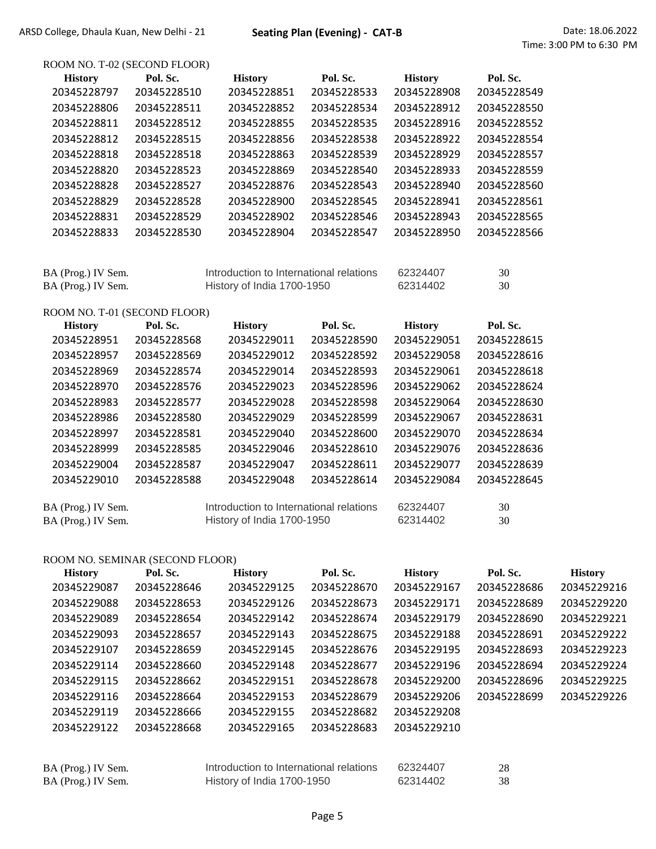ROOM NO. T-02 (SECOND FLOOR)

| <b>History</b>               | Pol. Sc.    | <b>History</b>                                                        | Pol. Sc.    | <b>History</b>       | Pol. Sc.    |
|------------------------------|-------------|-----------------------------------------------------------------------|-------------|----------------------|-------------|
| 20345228797                  | 20345228510 | 20345228851                                                           | 20345228533 | 20345228908          | 20345228549 |
| 20345228806                  | 20345228511 | 20345228852                                                           | 20345228534 | 20345228912          | 20345228550 |
| 20345228811                  | 20345228512 | 20345228855                                                           | 20345228535 | 20345228916          | 20345228552 |
| 20345228812                  | 20345228515 | 20345228856                                                           | 20345228538 | 20345228922          | 20345228554 |
| 20345228818                  | 20345228518 | 20345228863                                                           | 20345228539 | 20345228929          | 20345228557 |
| 20345228820                  | 20345228523 | 20345228869                                                           | 20345228540 | 20345228933          | 20345228559 |
| 20345228828                  | 20345228527 | 20345228876                                                           | 20345228543 | 20345228940          | 20345228560 |
| 20345228829                  | 20345228528 | 20345228900                                                           | 20345228545 | 20345228941          | 20345228561 |
| 20345228831                  | 20345228529 | 20345228902                                                           | 20345228546 | 20345228943          | 20345228565 |
| 20345228833                  | 20345228530 | 20345228904                                                           | 20345228547 | 20345228950          | 20345228566 |
|                              |             |                                                                       |             |                      |             |
| BA (Prog.) IV Sem.           |             | Introduction to International relations                               |             | 62324407             | 30          |
| BA (Prog.) IV Sem.           |             | History of India 1700-1950                                            |             | 62314402             | 30          |
| ROOM NO. T-01 (SECOND FLOOR) |             |                                                                       |             |                      |             |
| <b>History</b>               | Pol. Sc.    | <b>History</b>                                                        | Pol. Sc.    | <b>History</b>       | Pol. Sc.    |
|                              |             |                                                                       |             |                      |             |
| 20345228951                  | 20345228568 | 20345229011                                                           | 20345228590 | 20345229051          | 20345228615 |
| 20345228957                  | 20345228569 | 20345229012                                                           | 20345228592 | 20345229058          | 20345228616 |
| 20345228969                  | 20345228574 | 20345229014                                                           | 20345228593 | 20345229061          | 20345228618 |
| 20345228970                  | 20345228576 | 20345229023                                                           | 20345228596 | 20345229062          | 20345228624 |
| 20345228983                  | 20345228577 | 20345229028                                                           | 20345228598 | 20345229064          | 20345228630 |
| 20345228986                  | 20345228580 | 20345229029                                                           | 20345228599 | 20345229067          | 20345228631 |
| 20345228997                  | 20345228581 | 20345229040                                                           | 20345228600 | 20345229070          | 20345228634 |
| 20345228999                  | 20345228585 | 20345229046                                                           | 20345228610 | 20345229076          | 20345228636 |
| 20345229004                  | 20345228587 | 20345229047                                                           | 20345228611 | 20345229077          | 20345228639 |
| 20345229010                  | 20345228588 | 20345229048                                                           | 20345228614 | 20345229084          | 20345228645 |
| BA (Prog.) IV Sem.           |             | Introduction to International relations<br>History of India 1700-1950 |             | 62324407<br>62314402 | 30          |

## ROOM NO. SEMINAR (SECOND FLOOR)

| <b>History</b> | Pol. Sc.    | <b>History</b> | Pol. Sc.    | <b>History</b> | Pol. Sc.    | <b>History</b> |
|----------------|-------------|----------------|-------------|----------------|-------------|----------------|
| 20345229087    | 20345228646 | 20345229125    | 20345228670 | 20345229167    | 20345228686 | 20345229216    |
| 20345229088    | 20345228653 | 20345229126    | 20345228673 | 20345229171    | 20345228689 | 20345229220    |
| 20345229089    | 20345228654 | 20345229142    | 20345228674 | 20345229179    | 20345228690 | 20345229221    |
| 20345229093    | 20345228657 | 20345229143    | 20345228675 | 20345229188    | 20345228691 | 20345229222    |
| 20345229107    | 20345228659 | 20345229145    | 20345228676 | 20345229195    | 20345228693 | 20345229223    |
| 20345229114    | 20345228660 | 20345229148    | 20345228677 | 20345229196    | 20345228694 | 20345229224    |
| 20345229115    | 20345228662 | 20345229151    | 20345228678 | 20345229200    | 20345228696 | 20345229225    |
| 20345229116    | 20345228664 | 20345229153    | 20345228679 | 20345229206    | 20345228699 | 20345229226    |
| 20345229119    | 20345228666 | 20345229155    | 20345228682 | 20345229208    |             |                |
| 20345229122    | 20345228668 | 20345229165    | 20345228683 | 20345229210    |             |                |
|                |             |                |             |                |             |                |

| BA (Prog.) IV Sem. | Introduction to International relations | 62324407 |  |
|--------------------|-----------------------------------------|----------|--|
| BA (Prog.) IV Sem. | History of India 1700-1950              | 62314402 |  |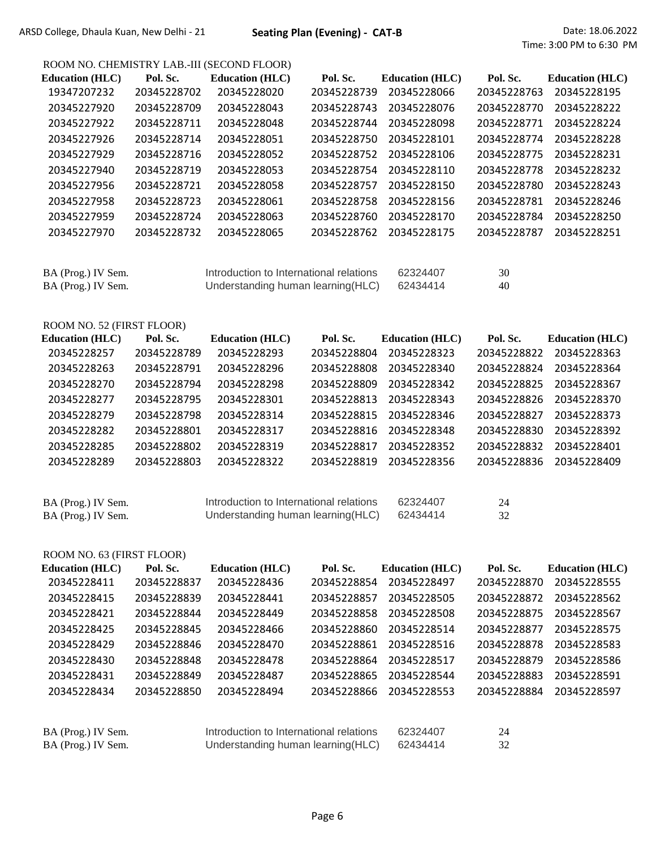# ROOM NO. CHEMISTRY LAB.-III (SECOND FLOOR)

|                           |             | <u>NOOM IVO. CHEMISTNT LAB.-III (SECOND FLOON)</u> |             |                        |             |                        |
|---------------------------|-------------|----------------------------------------------------|-------------|------------------------|-------------|------------------------|
| <b>Education (HLC)</b>    | Pol. Sc.    | <b>Education (HLC)</b>                             | Pol. Sc.    | <b>Education (HLC)</b> | Pol. Sc.    | <b>Education (HLC)</b> |
| 19347207232               | 20345228702 | 20345228020                                        | 20345228739 | 20345228066            | 20345228763 | 20345228195            |
| 20345227920               | 20345228709 | 20345228043                                        | 20345228743 | 20345228076            | 20345228770 | 20345228222            |
| 20345227922               | 20345228711 | 20345228048                                        | 20345228744 | 20345228098            | 20345228771 | 20345228224            |
| 20345227926               | 20345228714 | 20345228051                                        | 20345228750 | 20345228101            | 20345228774 | 20345228228            |
| 20345227929               | 20345228716 | 20345228052                                        | 20345228752 | 20345228106            | 20345228775 | 20345228231            |
| 20345227940               | 20345228719 | 20345228053                                        | 20345228754 | 20345228110            | 20345228778 | 20345228232            |
| 20345227956               | 20345228721 | 20345228058                                        | 20345228757 | 20345228150            | 20345228780 | 20345228243            |
| 20345227958               | 20345228723 | 20345228061                                        | 20345228758 | 20345228156            | 20345228781 | 20345228246            |
| 20345227959               | 20345228724 | 20345228063                                        | 20345228760 | 20345228170            | 20345228784 | 20345228250            |
| 20345227970               | 20345228732 | 20345228065                                        | 20345228762 | 20345228175            | 20345228787 | 20345228251            |
|                           |             |                                                    |             |                        |             |                        |
| BA (Prog.) IV Sem.        |             | Introduction to International relations            |             | 62324407               | 30          |                        |
| BA (Prog.) IV Sem.        |             | Understanding human learning (HLC)                 |             | 62434414               | 40          |                        |
|                           |             |                                                    |             |                        |             |                        |
| ROOM NO. 52 (FIRST FLOOR) |             |                                                    |             |                        |             |                        |
| <b>Education (HLC)</b>    | Pol. Sc.    | <b>Education (HLC)</b>                             | Pol. Sc.    | <b>Education (HLC)</b> | Pol. Sc.    | <b>Education (HLC)</b> |
| 20345228257               | 20345228789 | 20345228293                                        | 20345228804 | 20345228323            | 20345228822 | 20345228363            |
| 20345228263               | 20345228791 | 20345228296                                        | 20345228808 | 20345228340            | 20345228824 | 20345228364            |
| 20345228270               | 20345228794 | 20345228298                                        | 20345228809 | 20345228342            | 20345228825 | 20345228367            |
| 20345228277               | 20345228795 | 20345228301                                        | 20345228813 | 20345228343            | 20345228826 | 20345228370            |
| 20345228279               | 20345228798 | 20345228314                                        | 20345228815 | 20345228346            | 20345228827 | 20345228373            |
| 20345228282               | 20345228801 | 20345228317                                        | 20345228816 | 20345228348            | 20345228830 | 20345228392            |
| 20345228285               | 20345228802 | 20345228319                                        | 20345228817 | 20345228352            | 20345228832 | 20345228401            |
| 20345228289               | 20345228803 | 20345228322                                        | 20345228819 | 20345228356            | 20345228836 | 20345228409            |
|                           |             |                                                    |             |                        |             |                        |
|                           |             |                                                    |             |                        |             |                        |
| BA (Prog.) IV Sem.        |             | Introduction to International relations            |             | 62324407               | 24          |                        |
| BA (Prog.) IV Sem.        |             | Understanding human learning(HLC)                  |             | 62434414               | 32          |                        |
|                           |             |                                                    |             |                        |             |                        |

| ROOM NO. 63 (FIRST FLOOR) |             |                                         |             |                        |             |                        |
|---------------------------|-------------|-----------------------------------------|-------------|------------------------|-------------|------------------------|
| <b>Education (HLC)</b>    | Pol. Sc.    | <b>Education (HLC)</b>                  | Pol. Sc.    | <b>Education</b> (HLC) | Pol. Sc.    | <b>Education</b> (HLC) |
| 20345228411               | 20345228837 | 20345228436                             | 20345228854 | 20345228497            | 20345228870 | 20345228555            |
| 20345228415               | 20345228839 | 20345228441                             | 20345228857 | 20345228505            | 20345228872 | 20345228562            |
| 20345228421               | 20345228844 | 20345228449                             | 20345228858 | 20345228508            | 20345228875 | 20345228567            |
| 20345228425               | 20345228845 | 20345228466                             | 20345228860 | 20345228514            | 20345228877 | 20345228575            |
| 20345228429               | 20345228846 | 20345228470                             | 20345228861 | 20345228516            | 20345228878 | 20345228583            |
| 20345228430               | 20345228848 | 20345228478                             | 20345228864 | 20345228517            | 20345228879 | 20345228586            |
| 20345228431               | 20345228849 | 20345228487                             | 20345228865 | 20345228544            | 20345228883 | 20345228591            |
| 20345228434               | 20345228850 | 20345228494                             | 20345228866 | 20345228553            | 20345228884 | 20345228597            |
|                           |             |                                         |             |                        |             |                        |
| BA (Prog.) IV Sem.        |             | Introduction to International relations |             | 62324407               | 24          |                        |
| BA (Prog.) IV Sem.        |             | Understanding human learning (HLC)      |             | 62434414               | 32          |                        |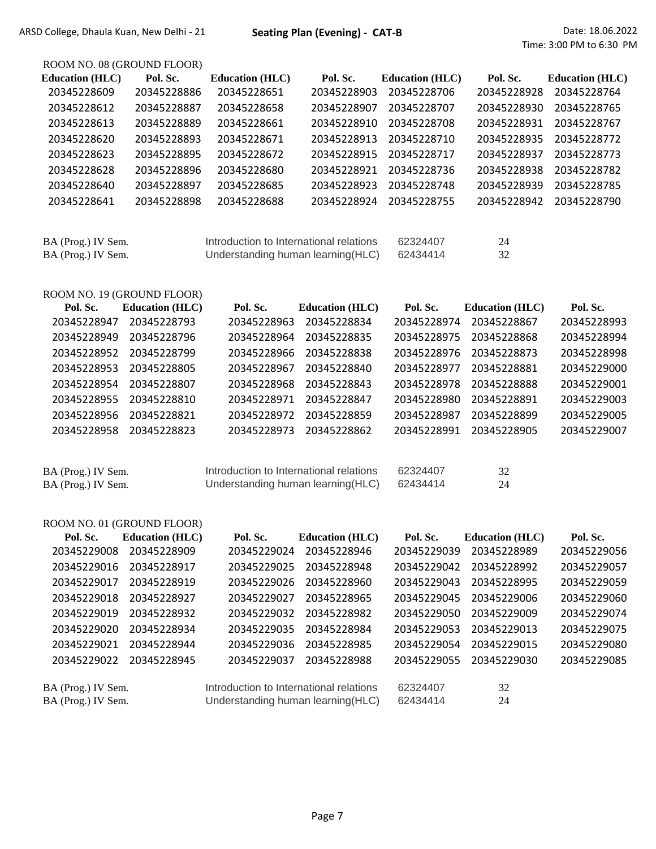## ROOM NO. 08 (GROUND FLOOR)

| <b>Education (HLC)</b> | Pol. Sc.    | <b>Education</b> (HLC)                  | Pol. Sc.    | <b>Education (HLC)</b> | Pol. Sc.    | <b>Education</b> (HLC) |
|------------------------|-------------|-----------------------------------------|-------------|------------------------|-------------|------------------------|
| 20345228609            | 20345228886 | 20345228651                             | 20345228903 | 20345228706            | 20345228928 | 20345228764            |
| 20345228612            | 20345228887 | 20345228658                             | 20345228907 | 20345228707            | 20345228930 | 20345228765            |
| 20345228613            | 20345228889 | 20345228661                             | 20345228910 | 20345228708            | 20345228931 | 20345228767            |
| 20345228620            | 20345228893 | 20345228671                             | 20345228913 | 20345228710            | 20345228935 | 20345228772            |
| 20345228623            | 20345228895 | 20345228672                             | 20345228915 | 20345228717            | 20345228937 | 20345228773            |
| 20345228628            | 20345228896 | 20345228680                             | 20345228921 | 20345228736            | 20345228938 | 20345228782            |
| 20345228640            | 20345228897 | 20345228685                             | 20345228923 | 20345228748            | 20345228939 | 20345228785            |
| 20345228641            | 20345228898 | 20345228688                             | 20345228924 | 20345228755            | 20345228942 | 20345228790            |
|                        |             |                                         |             |                        |             |                        |
| BA (Prog.) IV Sem.     |             | Introduction to International relations |             | 62324407               | 24          |                        |

BA (Frog.) IV Sem.<br>BA (Prog.) IV Sem. Understanding human learning (HLC) 62434414 32

| ROOM NO. 19 (GROUND FLOOR) |  |               |
|----------------------------|--|---------------|
|                            |  | $\sim$ $\sim$ |

| Pol. Sc.               | Pol. Sc.                                | Pol. Sc.               | Pol. Sc.    |
|------------------------|-----------------------------------------|------------------------|-------------|
| <b>Education (HLC)</b> | <b>Education</b> (HLC)                  | <b>Education</b> (HLC) |             |
| 20345228947            | 20345228963                             | 20345228974            | 20345228993 |
| 20345228793            | 20345228834                             | 20345228867            |             |
| 20345228949            | 20345228964                             | 20345228975            | 20345228994 |
| 20345228796            | 20345228835                             | 20345228868            |             |
| 20345228952            | 20345228966                             | 20345228976            | 20345228998 |
| 20345228799            | 20345228838                             | 20345228873            |             |
| 20345228953            | 20345228967                             | 20345228977            | 20345229000 |
| 20345228805            | 20345228840                             | 20345228881            |             |
| 20345228954            | 20345228968                             | 20345228978            | 20345229001 |
| 20345228807            | 20345228843                             | 20345228888            |             |
| 20345228810            | 20345228971                             | 20345228980            | 20345229003 |
| 20345228955            | 20345228847                             | 20345228891            |             |
| 20345228956            | 20345228972                             | 20345228987            | 20345229005 |
| 20345228821            | 20345228859                             | 20345228899            |             |
| 20345228823            | 20345228973                             | 20345228991            | 20345229007 |
| 20345228958            | 20345228862                             | 20345228905            |             |
|                        |                                         |                        |             |
|                        |                                         |                        |             |
| BA (Prog.) IV Sem.     | Introduction to International relations | 62324407<br>32         |             |

| BA (Prog.) IV Sem. | Introduction to International relations | 62324407 |  |
|--------------------|-----------------------------------------|----------|--|
| BA (Prog.) IV Sem. | Understanding human learning (HLC)      | 62434414 |  |

| Pol. Sc.           | <b>Education</b> (HLC) | Pol. Sc.                                | <b>Education</b> (HLC)             | Pol. Sc.    | <b>Education (HLC)</b> | Pol. Sc.    |
|--------------------|------------------------|-----------------------------------------|------------------------------------|-------------|------------------------|-------------|
| 20345229008        | 20345228909            | 20345229024                             | 20345228946                        | 20345229039 | 20345228989            | 20345229056 |
| 20345229016        | 20345228917            | 20345229025                             | 20345228948                        | 20345229042 | 20345228992            | 20345229057 |
| 20345229017        | 20345228919            | 20345229026                             | 20345228960                        | 20345229043 | 20345228995            | 20345229059 |
| 20345229018        | 20345228927            | 20345229027                             | 20345228965                        | 20345229045 | 20345229006            | 20345229060 |
| 20345229019        | 20345228932            | 20345229032                             | 20345228982                        | 20345229050 | 20345229009            | 20345229074 |
| 20345229020        | 20345228934            | 20345229035                             | 20345228984                        | 20345229053 | 20345229013            | 20345229075 |
| 20345229021        | 20345228944            | 20345229036                             | 20345228985                        | 20345229054 | 20345229015            | 20345229080 |
| 20345229022        | 20345228945            | 20345229037                             | 20345228988                        | 20345229055 | 20345229030            | 20345229085 |
| BA (Prog.) IV Sem. |                        | Introduction to International relations |                                    | 62324407    | 32                     |             |
| BA (Prog.) IV Sem. |                        |                                         | Understanding human learning (HLC) | 62434414    | 24                     |             |